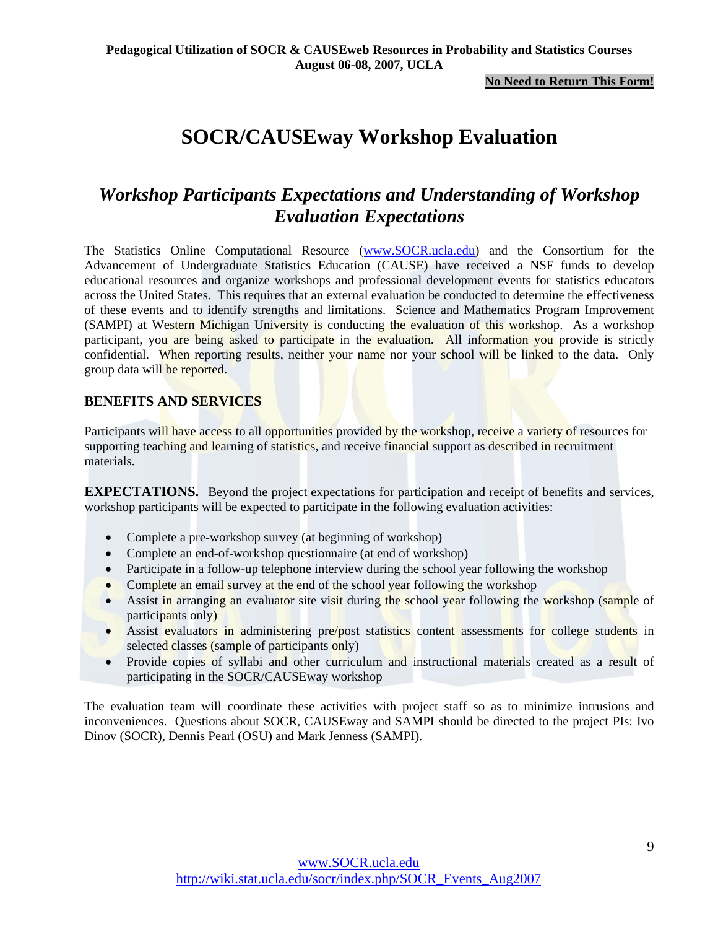**No Need to Return This Form!**

# **SOCR/CAUSEway Workshop Evaluation**

# *Workshop Participants Expectations and Understanding of Workshop Evaluation Expectations*

The Statistics Online Computational Resource (www.SOCR.ucla.edu) and the Consortium for the Advancement of Undergraduate Statistics Education (CAUSE) have received a NSF funds to develop educational resources and organize workshops and professional development events for statistics educators across the United States. This requires that an external evaluation be conducted to determine the effectiveness of these events and to identify strengths and limitations. Science and Mathematics Program Improvement (SAMPI) at Western Michigan University is conducting the evaluation of this workshop. As a workshop participant, you are being asked to participate in the evaluation. All information you provide is strictly confidential. When reporting results, neither your name nor your school will be linked to the data. Only group data will be reported.

## **BENEFITS AND SERVICES**

Participants will have access to all opportunities provided by the workshop, receive a variety of resources for supporting teaching and learning of statistics, and receive financial support as described in recruitment materials.

**EXPECTATIONS.** Beyond the project expectations for participation and receipt of benefits and services, workshop participants will be expected to participate in the following evaluation activities:

- Complete a pre-workshop survey (at beginning of workshop)
- Complete an end-of-workshop questionnaire (at end of workshop)
- Participate in a follow-up telephone interview during the school year following the workshop
- Complete an email survey at the end of the school year following the workshop
- Assist in arranging an evaluator site visit during the school year following the workshop (sample of participants only)
- Assist evaluators in administering pre/post statistics content assessments for college students in selected classes (sample of participants only)
- Provide copies of syllabi and other curriculum and instructional materials created as a result of participating in the SOCR/CAUSEway workshop

The evaluation team will coordinate these activities with project staff so as to minimize intrusions and inconveniences. Questions about SOCR, CAUSEway and SAMPI should be directed to the project PIs: Ivo Dinov (SOCR), Dennis Pearl (OSU) and Mark Jenness (SAMPI).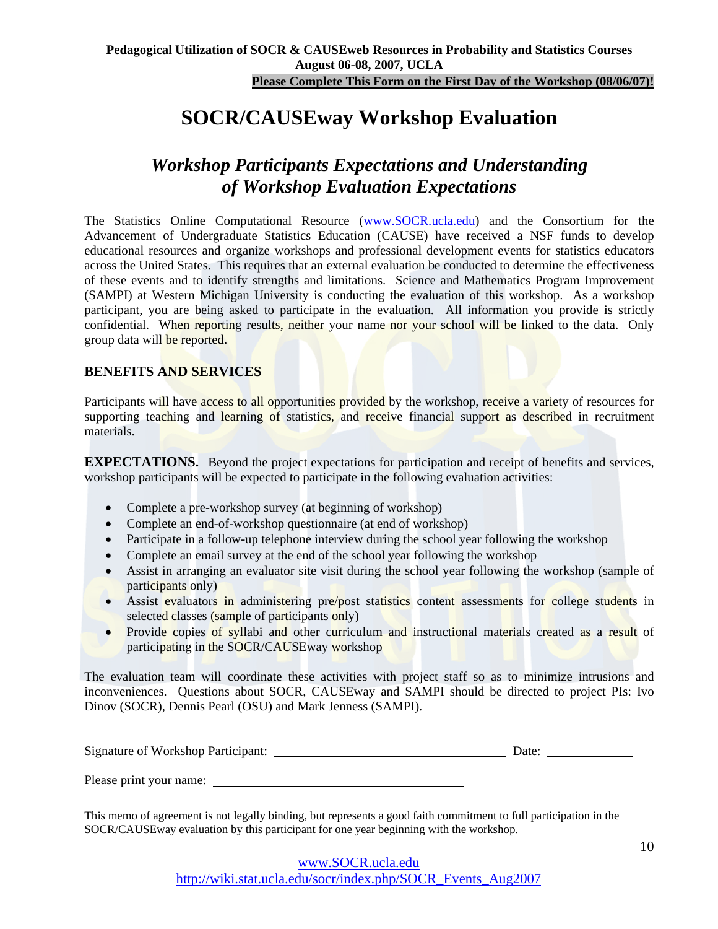**Please Complete This Form on the First Day of the Workshop (08/06/07)!**

# **SOCR/CAUSEway Workshop Evaluation**

# *Workshop Participants Expectations and Understanding of Workshop Evaluation Expectations*

The Statistics Online Computational Resource (www.SOCR.ucla.edu) and the Consortium for the Advancement of Undergraduate Statistics Education (CAUSE) have received a NSF funds to develop educational resources and organize workshops and professional development events for statistics educators across the United States. This requires that an external evaluation be conducted to determine the effectiveness of these events and to identify strengths and limitations. Science and Mathematics Program Improvement (SAMPI) at Western Michigan University is conducting the evaluation of this workshop. As a workshop participant, you are being asked to participate in the evaluation. All information you provide is strictly confidential. When reporting results, neither your name nor your school will be linked to the data. Only group data will be reported.

# **BENEFITS AND SERVICES**

Participants will have access to all opportunities provided by the workshop, receive a variety of resources for supporting teaching and learning of statistics, and receive financial support as described in recruitment materials.

**EXPECTATIONS.** Beyond the project expectations for participation and receipt of benefits and services, workshop participants will be expected to participate in the following evaluation activities:

- Complete a pre-workshop survey (at beginning of workshop)
- Complete an end-of-workshop questionnaire (at end of workshop)
- Participate in a follow-up telephone interview during the school year following the workshop
- Complete an email survey at the end of the school year following the workshop
- Assist in arranging an evaluator site visit during the school year following the workshop (sample of participants only)
- Assist evaluators in administering pre/post statistics content assessments for college students in selected classes (sample of participants only)
- Provide copies of syllabi and other curriculum and instructional materials created as a result of participating in the SOCR/CAUSEway workshop

The evaluation team will coordinate these activities with project staff so as to minimize intrusions and inconveniences. Questions about SOCR, CAUSEway and SAMPI should be directed to project PIs: Ivo Dinov (SOCR), Dennis Pearl (OSU) and Mark Jenness (SAMPI).

| Signature of Workshop Participant: | )ate: |  |
|------------------------------------|-------|--|
|                                    |       |  |

Please print your name:

This memo of agreement is not legally binding, but represents a good faith commitment to full participation in the SOCR/CAUSEway evaluation by this participant for one year beginning with the workshop.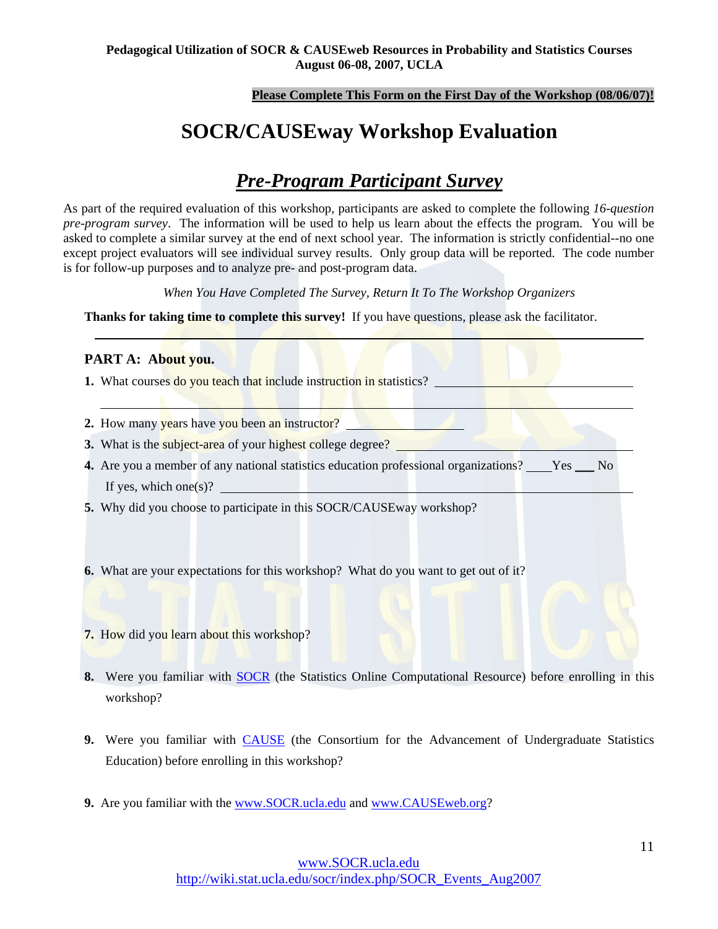### **Please Complete This Form on the First Day of the Workshop (08/06/07)!**

# **SOCR/CAUSEway Workshop Evaluation**

# *Pre-Program Participant Survey*

As part of the required evaluation of this workshop, participants are asked to complete the following *16-question pre-program survey*. The information will be used to help us learn about the effects the program. You will be asked to complete a similar survey at the end of next school year. The information is strictly confidential--no one except project evaluators will see individual survey results. Only group data will be reported. The code number is for follow-up purposes and to analyze pre- and post-program data.

*When You Have Completed The Survey, Return It To The Workshop Organizers* 

**Thanks for taking time to complete this survey!** If you have questions, please ask the facilitator.

## **PART A: About you.**

 $\overline{a}$ 

- **1.** What courses do you teach that include instruction in statistics?
- **2.** How many years have you been an instructor?
- **3.** What is the subject-area of your highest college degree?
- **4.** Are you a member of any national statistics education professional organizations? Yes No If yes, which one(s)?
- **5.** Why did you choose to participate in this SOCR/CAUSEway workshop?
- **6.** What are your expectations for this workshop? What do you want to get out of it?
- **7.** How did you learn about this workshop?
- **8.** Were you familiar with **SOCR** (the Statistics Online Computational Resource) before enrolling in this workshop?
- **9.** Were you familiar with CAUSE (the Consortium for the Advancement of Undergraduate Statistics Education) before enrolling in this workshop?
- **9.** Are you familiar with the www.SOCR.ucla.edu and www.CAUSEweb.org?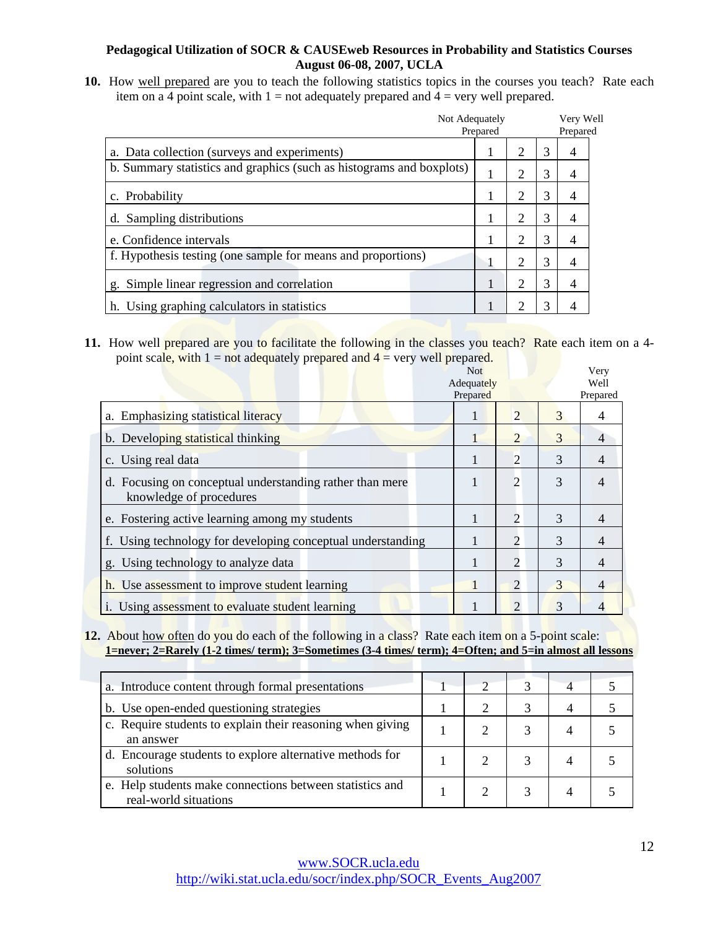**10.** How well prepared are you to teach the following statistics topics in the courses you teach? Rate each item on a 4 point scale, with  $1 = not$  adequately prepared and  $4 = very$  well prepared.

| Not Adequately                                                       | Prepared |                |   | Very Well<br>Prepared |  |  |
|----------------------------------------------------------------------|----------|----------------|---|-----------------------|--|--|
| a. Data collection (surveys and experiments)                         |          | $\overline{2}$ | 3 | $\overline{4}$        |  |  |
| b. Summary statistics and graphics (such as histograms and boxplots) |          | $\overline{2}$ | 3 | 4                     |  |  |
| c. Probability                                                       |          | 2              | 3 | 4                     |  |  |
| d. Sampling distributions                                            |          | $\overline{2}$ | 3 | 4                     |  |  |
| e. Confidence intervals                                              |          | 2              | 3 | 4                     |  |  |
| f. Hypothesis testing (one sample for means and proportions)         |          | 2              | 3 | 4                     |  |  |
| g. Simple linear regression and correlation                          |          | $\overline{2}$ | 3 | $\overline{4}$        |  |  |
| h. Using graphing calculators in statistics                          |          | っ              | 3 | 4                     |  |  |

**11.** How well prepared are you to facilitate the following in the classes you teach? Rate each item on a 4point scale, with  $1 =$  not adequately prepared and  $4 =$  very well prepared.

|                                                                                     | <b>Not</b><br>Adequately<br>Prepared |                       |   | Very<br>Well<br>Prepared |
|-------------------------------------------------------------------------------------|--------------------------------------|-----------------------|---|--------------------------|
| a. Emphasizing statistical literacy                                                 |                                      | $\overline{2}$        | 3 | 4                        |
| b. Developing statistical thinking                                                  |                                      | 2                     | 3 | 4                        |
| c. Using real data                                                                  | 1                                    | 2                     | 3 | 4                        |
| d. Focusing on conceptual understanding rather than mere<br>knowledge of procedures |                                      | $\overline{2}$        | 3 | 4                        |
| e. Fostering active learning among my students                                      |                                      | $\overline{2}$        | 3 | 4                        |
| f. Using technology for developing conceptual understanding                         |                                      | 2                     | 3 | 4                        |
| g. Using technology to analyze data                                                 |                                      | $\overline{2}$        | 3 | 4                        |
| h. Use assessment to improve student learning                                       |                                      | 2                     | 3 | 4                        |
| <i>i.</i> Using assessment to evaluate student learning                             |                                      | $\mathcal{D}_{\cdot}$ | 3 |                          |

**12.** About how often do you do each of the following in a class? Rate each item on a 5-point scale: **1=never; 2=Rarely (1-2 times/ term); 3=Sometimes (3-4 times/ term); 4=Often; and 5=in almost all lessons**

| a. Introduce content through formal presentations                                 |  |  |  |
|-----------------------------------------------------------------------------------|--|--|--|
| b. Use open-ended questioning strategies                                          |  |  |  |
| c. Require students to explain their reasoning when giving<br>an answer           |  |  |  |
| d. Encourage students to explore alternative methods for<br>solutions             |  |  |  |
| e. Help students make connections between statistics and<br>real-world situations |  |  |  |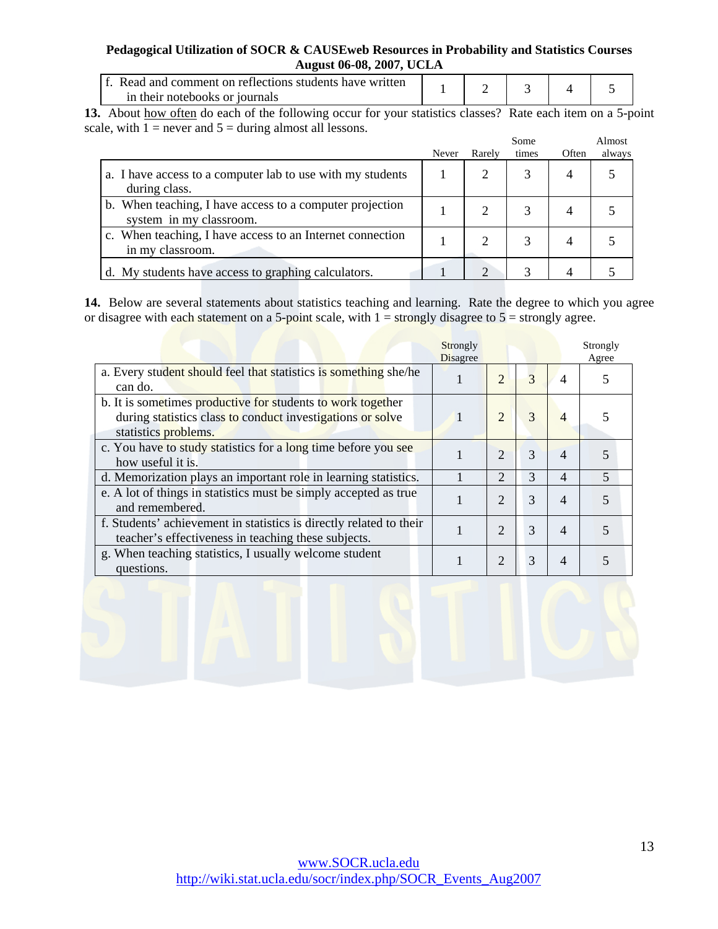| f. Read and comment on reflections students have written |  |  |  |
|----------------------------------------------------------|--|--|--|
| in their notebooks or journals                           |  |  |  |

**13.** About how often do each of the following occur for your statistics classes? Rate each item on a 5-point scale, with  $1 =$  never and  $5 =$  during almost all lessons.

|                                                                                     | Never | Rarely | Some<br>times | Often | Almost<br>always |
|-------------------------------------------------------------------------------------|-------|--------|---------------|-------|------------------|
| a. I have access to a computer lab to use with my students<br>during class.         |       | 2      |               | 4     |                  |
| b. When teaching, I have access to a computer projection<br>system in my classroom. |       |        |               |       |                  |
| c. When teaching, I have access to an Internet connection<br>in my classroom.       |       |        |               | 4     |                  |
| d. My students have access to graphing calculators.                                 |       | ↑      |               |       |                  |

**14.** Below are several statements about statistics teaching and learning. Rate the degree to which you agree or disagree with each statement on a 5-point scale, with  $1 =$  strongly disagree to  $5 =$  strongly agree.

|                                                                                                                                                   | Strongly<br><b>Disagree</b> |                       |               |                | Strongly<br>Agree |
|---------------------------------------------------------------------------------------------------------------------------------------------------|-----------------------------|-----------------------|---------------|----------------|-------------------|
| a. Every student should feel that statistics is something she/he<br>can do.                                                                       |                             | $\overline{2}$        | 3             | $\overline{4}$ |                   |
| b. It is sometimes productive for students to work together<br>during statistics class to conduct investigations or solve<br>statistics problems. |                             | $\overline{2}$        | 3             | 4              |                   |
| c. You have to study statistics for a long time before you see<br>how useful it is.                                                               |                             | $\overline{2}$        | 3             | 4              |                   |
| d. Memorization plays an important role in learning statistics.                                                                                   |                             | 2                     | $\mathcal{R}$ | $\overline{4}$ | 5                 |
| e. A lot of things in statistics must be simply accepted as true<br>and remembered.                                                               |                             | $\mathcal{D}_{\cdot}$ | $\mathcal{R}$ | 4              | 5                 |
| f. Students' achievement in statistics is directly related to their<br>teacher's effectiveness in teaching these subjects.                        |                             | $\overline{2}$        | 3             | 4              | 5                 |
| g. When teaching statistics, I usually welcome student<br>questions.                                                                              |                             | $\overline{2}$        | 3             | 4              |                   |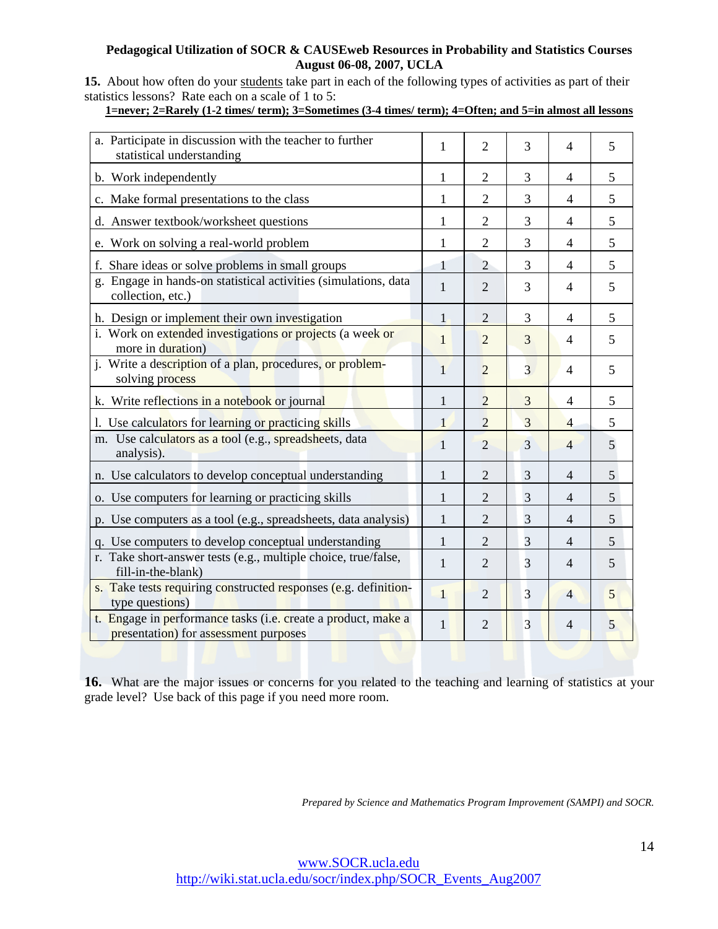15. About how often do your students take part in each of the following types of activities as part of their statistics lessons? Rate each on a scale of 1 to 5:

# **1=never; 2=Rarely (1-2 times/ term); 3=Sometimes (3-4 times/ term); 4=Often; and 5=in almost all lessons**

| a. Participate in discussion with the teacher to further                                               | 1            | $\overline{2}$ | 3              | $\overline{4}$ | 5 |
|--------------------------------------------------------------------------------------------------------|--------------|----------------|----------------|----------------|---|
| statistical understanding                                                                              |              |                |                |                |   |
| b. Work independently                                                                                  | 1            | $\overline{2}$ | 3              | 4              | 5 |
| c. Make formal presentations to the class                                                              | 1            | $\overline{2}$ | 3              | 4              | 5 |
| d. Answer textbook/worksheet questions                                                                 | 1            | $\overline{2}$ | 3              | $\overline{4}$ | 5 |
| e. Work on solving a real-world problem                                                                | 1            | $\overline{c}$ | 3              | 4              | 5 |
| f. Share ideas or solve problems in small groups                                                       | $\mathbf{1}$ | $\overline{2}$ | 3              | 4              | 5 |
| g. Engage in hands-on statistical activities (simulations, data<br>collection, etc.)                   | $\mathbf{1}$ | $\overline{2}$ | 3              | $\overline{4}$ | 5 |
| h. Design or implement their own investigation                                                         | $\mathbf{1}$ | $\overline{2}$ | 3              | 4              | 5 |
| i. Work on extended investigations or projects (a week or<br>more in duration)                         | 1            | $\overline{2}$ | 3              | 4              | 5 |
| j. Write a description of a plan, procedures, or problem-<br>solving process                           | $\mathbf{1}$ | $\overline{2}$ | $\overline{3}$ | $\overline{4}$ | 5 |
| k. Write reflections in a notebook or journal                                                          | 1            | $\overline{2}$ | 3              | 4              | 5 |
| 1. Use calculators for learning or practicing skills                                                   | $\mathbf{1}$ | $\overline{2}$ | 3              | $\overline{4}$ | 5 |
| m. Use calculators as a tool (e.g., spreadsheets, data<br>analysis).                                   | $\mathbf{1}$ | $\overline{2}$ | 3              | $\overline{4}$ | 5 |
| n. Use calculators to develop conceptual understanding                                                 | $\mathbf{1}$ | $\overline{2}$ | 3              | 4              | 5 |
| o. Use computers for learning or practicing skills                                                     | 1            | 2              | 3              | $\overline{4}$ | 5 |
| p. Use computers as a tool (e.g., spreadsheets, data analysis)                                         | $\mathbf{1}$ | $\overline{2}$ | 3              | $\overline{4}$ | 5 |
| q. Use computers to develop conceptual understanding                                                   | 1            | $\overline{2}$ | 3              | $\overline{4}$ | 5 |
| r. Take short-answer tests (e.g., multiple choice, true/false,<br>fill-in-the-blank)                   | 1            | $\overline{2}$ | 3              | $\overline{4}$ | 5 |
| s. Take tests requiring constructed responses (e.g. definition-<br>type questions)                     | $\mathbf{1}$ | $\overline{2}$ | $\overline{3}$ | $\overline{4}$ | 5 |
| t. Engage in performance tasks (i.e. create a product, make a<br>presentation) for assessment purposes | $\mathbf{1}$ | 2              | 3              | 4              | 5 |

**16.** What are the major issues or concerns for you related to the teaching and learning of statistics at your grade level? Use back of this page if you need more room.

*Prepared by Science and Mathematics Program Improvement (SAMPI) and SOCR.*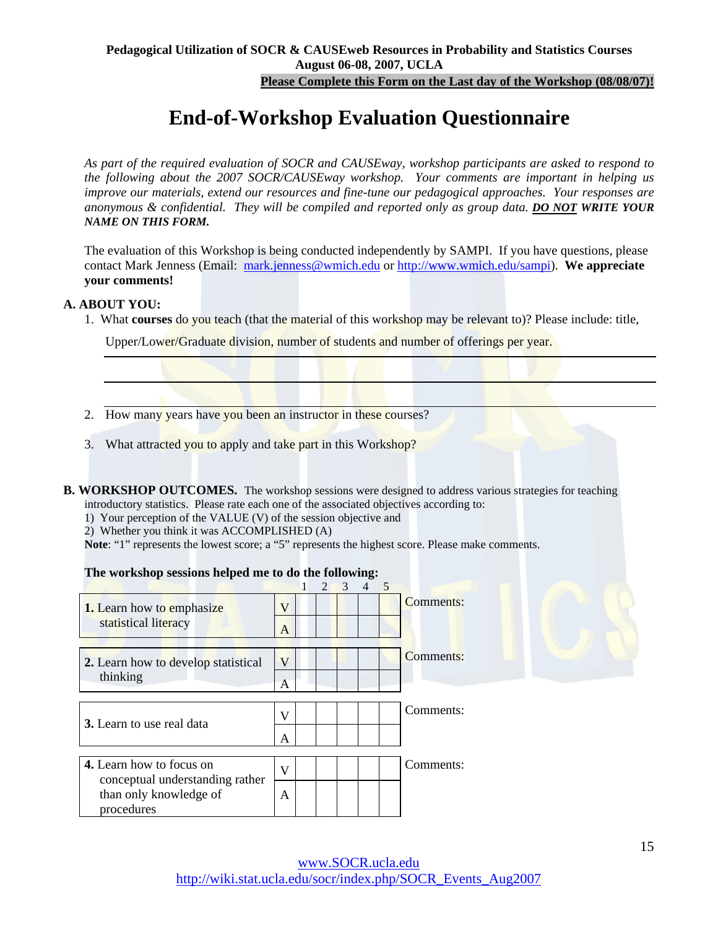**Please Complete this Form on the Last day of the Workshop (08/08/07)!**

# **End-of-Workshop Evaluation Questionnaire**

*As part of the required evaluation of SOCR and CAUSEway, workshop participants are asked to respond to the following about the 2007 SOCR/CAUSEway workshop. Your comments are important in helping us improve our materials, extend our resources and fine-tune our pedagogical approaches. Your responses are anonymous & confidential. They will be compiled and reported only as group data. DO NOT WRITE YOUR NAME ON THIS FORM.*

The evaluation of this Workshop is being conducted independently by SAMPI. If you have questions, please contact Mark Jenness (Email: mark.jenness@wmich.edu or http://www.wmich.edu/sampi). **We appreciate your comments!**

### **A. ABOUT YOU:**

1. What **courses** do you teach (that the material of this workshop may be relevant to)? Please include: title,

Upper/Lower/Graduate division, number of students and number of offerings per year.

- 2. How many years have you been an instructor in these courses?
- 3. What attracted you to apply and take part in this Workshop?
- **B. WORKSHOP OUTCOMES.** The workshop sessions were designed to address various strategies for teaching introductory statistics. Please rate each one of the associated objectives according to:
	- 1) Your perception of the VALUE (V) of the session objective and
	- 2) Whether you think it was ACCOMPLISHED (A)

**Note**: "1" represents the lowest score; a "5" represents the highest score. Please make comments.

### **The workshop sessions helped me to do the following:**

|                                                             |              | $\overline{2}$ | $\mathcal{E}$ | $\overline{4}$ | 5 |                  |
|-------------------------------------------------------------|--------------|----------------|---------------|----------------|---|------------------|
| <b>1.</b> Learn how to emphasize                            | V            |                |               |                |   | <b>Comments:</b> |
| statistical literacy                                        | A            |                |               |                |   |                  |
| 2. Learn how to develop statistical                         | V            |                |               |                |   | <b>Comments:</b> |
| thinking                                                    | A            |                |               |                |   |                  |
| 3. Learn to use real data                                   | V            |                |               |                |   | Comments:        |
|                                                             | A            |                |               |                |   |                  |
| 4. Learn how to focus on<br>conceptual understanding rather | $\mathbf{V}$ |                |               |                |   | Comments:        |
| than only knowledge of<br>procedures                        | A            |                |               |                |   |                  |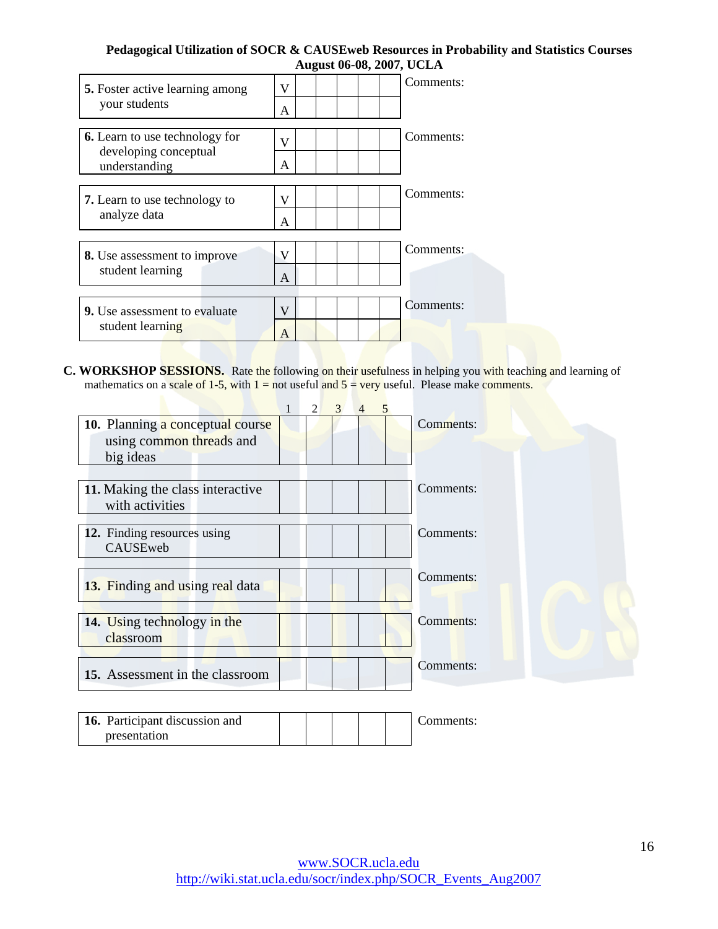| <b>5.</b> Foster active learning among | Comments:<br>V |
|----------------------------------------|----------------|
| your students                          | A              |
| <b>6.</b> Learn to use technology for  | Comments:<br>v |
| developing conceptual<br>understanding | A              |
| <b>7.</b> Learn to use technology to   | Comments:<br>v |
| analyze data                           | A              |
| <b>8.</b> Use assessment to improve    | Comments:<br>V |
| student learning                       | A              |
| <b>9.</b> Use assessment to evaluate   | Comments:<br>V |
| student learning                       | A              |

**C. WORKSHOP SESSIONS.** Rate the following on their usefulness in helping you with teaching and learning of mathematics on a scale of 1-5, with  $1 =$  not useful and  $5 =$  very useful. Please make comments.

|                                  | $\mathfrak{D}$ | 3 | 4 | 5 |           |
|----------------------------------|----------------|---|---|---|-----------|
| 10. Planning a conceptual course |                |   |   |   | Comments: |
| using common threads and         |                |   |   |   |           |
| big ideas                        |                |   |   |   |           |
|                                  |                |   |   |   |           |
| 11. Making the class interactive |                |   |   |   | Comments: |
| with activities                  |                |   |   |   |           |
|                                  |                |   |   |   |           |
| 12. Finding resources using      |                |   |   |   | Comments: |
| CAUSEweb                         |                |   |   |   |           |
|                                  |                |   |   |   | Comments: |
| 13. Finding and using real data  |                |   |   |   |           |
|                                  |                |   |   |   |           |
| 14. Using technology in the      |                |   |   |   | Comments: |
| classroom                        |                |   |   |   |           |
|                                  |                |   |   |   |           |
| 15. Assessment in the classroom  |                |   |   |   | Comments: |
|                                  |                |   |   |   |           |
|                                  |                |   |   |   |           |
| 16. Participant discussion and   |                |   |   |   | Comments: |
| presentation                     |                |   |   |   |           |